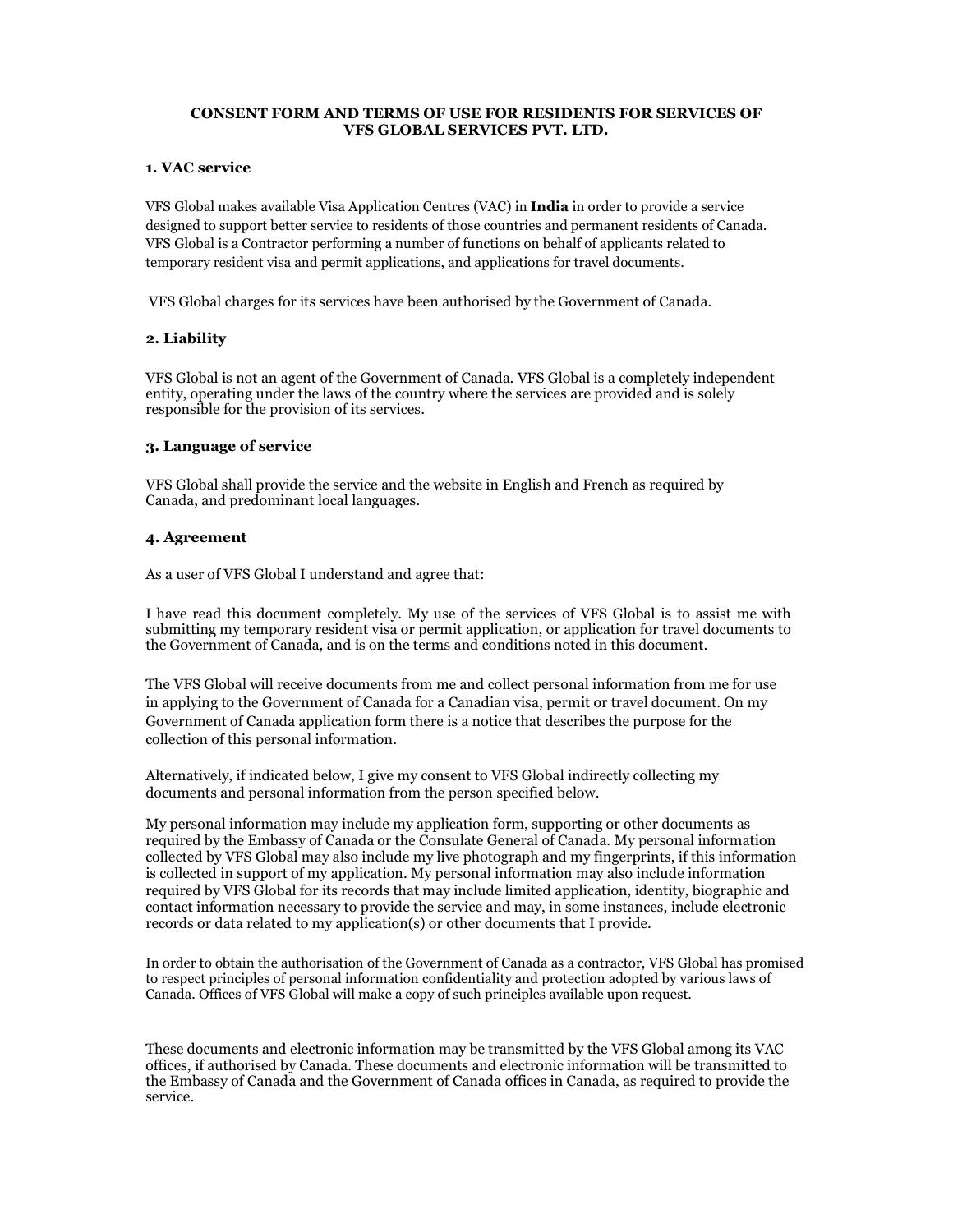## CONSENT FORM AND TERMS OF USE FOR RESIDENTS FOR SERVICES OF VFS GLOBAL SERVICES PVT. LTD.

## 1. VAC service

VFS Global makes available Visa Application Centres (VAC) in India in order to provide a service designed to support better service to residents of those countries and permanent residents of Canada. VFS Global is a Contractor performing a number of functions on behalf of applicants related to temporary resident visa and permit applications, and applications for travel documents.

VFS Global charges for its services have been authorised by the Government of Canada.

# 2. Liability

VFS Global is not an agent of the Government of Canada. VFS Global is a completely independent entity, operating under the laws of the country where the services are provided and is solely responsible for the provision of its services.

# 3. Language of service

VFS Global shall provide the service and the website in English and French as required by Canada, and predominant local languages.

# 4. Agreement

As a user of VFS Global I understand and agree that:

I have read this document completely. My use of the services of VFS Global is to assist me with submitting my temporary resident visa or permit application, or application for travel documents to the Government of Canada, and is on the terms and conditions noted in this document.

The VFS Global will receive documents from me and collect personal information from me for use in applying to the Government of Canada for a Canadian visa, permit or travel document. On my Government of Canada application form there is a notice that describes the purpose for the collection of this personal information.

Alternatively, if indicated below, I give my consent to VFS Global indirectly collecting my documents and personal information from the person specified below.

My personal information may include my application form, supporting or other documents as required by the Embassy of Canada or the Consulate General of Canada. My personal information collected by VFS Global may also include my live photograph and my fingerprints, if this information is collected in support of my application. My personal information may also include information required by VFS Global for its records that may include limited application, identity, biographic and contact information necessary to provide the service and may, in some instances, include electronic records or data related to my application(s) or other documents that I provide.

In order to obtain the authorisation of the Government of Canada as a contractor, VFS Global has promised to respect principles of personal information confidentiality and protection adopted by various laws of Canada. Offices of VFS Global will make a copy of such principles available upon request.

These documents and electronic information may be transmitted by the VFS Global among its VAC offices, if authorised by Canada. These documents and electronic information will be transmitted to the Embassy of Canada and the Government of Canada offices in Canada, as required to provide the service.